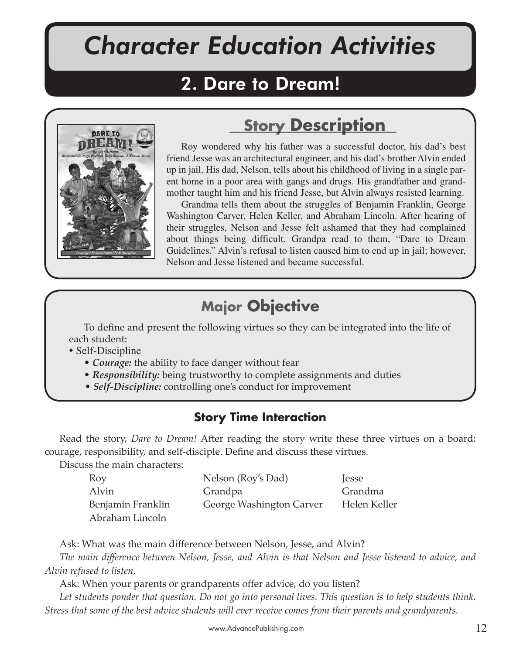# *Character Education Activities*

## 2. Dare to Dream!



## **Story Description**

Roy wondered why his father was a successful doctor, his dad's best friend Jesse was an architectural engineer, and his dad's brother Alvin ended up in jail. His dad, Nelson, tells about his childhood of living in a single parent home in a poor area with gangs and drugs. His grandfather and grandmother taught him and his friend Jesse, but Alvin always resisted learning.

Grandma tells them about the struggles of Benjamin Franklin, George Washington Carver, Helen Keller, and Abraham Lincoln. After hearing of their struggles, Nelson and Jesse felt ashamed that they had complained about things being difficult. Grandpa read to them, "Dare to Dream Guidelines." Alvin's refusal to listen caused him to end up in jail; however, Nelson and Jesse listened and became successful.

## **Major Objective**

To define and present the following virtues so they can be integrated into the life of each student:

- Self-Discipline
	- *Courage:* the ability to face danger without fear
	- *Responsibility:* being trustworthy to complete assignments and duties
	- *Self-Discipline:* controlling one's conduct for improvement

## **Story Time Interaction**

Read the story, *Dare to Dream!* After reading the story write these three virtues on a board: courage, responsibility, and self-disciple. Define and discuss these virtues.

Discuss the main characters:

| Roy               | Nelson (Roy's Dad)       | <i>lesse</i> |
|-------------------|--------------------------|--------------|
| Alvin             | Grandpa                  | Grandma      |
| Benjamin Franklin | George Washington Carver | Helen Keller |
| Abraham Lincoln   |                          |              |

Ask: What was the main difference between Nelson, Jesse, and Alvin?

*The main difference between Nelson, Jesse, and Alvin is that Nelson and Jesse listened to advice, and Alvin refused to listen.*

Ask: When your parents or grandparents offer advice, do you listen?

*Let students ponder that question. Do not go into personal lives. This question is to help students think. Stress that some of the best advice students will ever receive comes from their parents and grandparents.*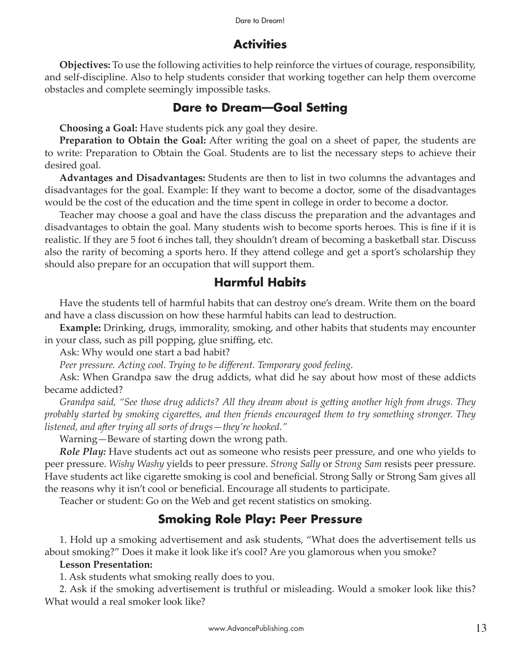## **Activities**

**Objectives:** To use the following activities to help reinforce the virtues of courage, responsibility, and self-discipline. Also to help students consider that working together can help them overcome obstacles and complete seemingly impossible tasks.

#### **Dare to Dream—Goal Setting**

**Choosing a Goal:** Have students pick any goal they desire.

**Preparation to Obtain the Goal:** After writing the goal on a sheet of paper, the students are to write: Preparation to Obtain the Goal. Students are to list the necessary steps to achieve their desired goal.

**Advantages and Disadvantages:** Students are then to list in two columns the advantages and disadvantages for the goal. Example: If they want to become a doctor, some of the disadvantages would be the cost of the education and the time spent in college in order to become a doctor.

Teacher may choose a goal and have the class discuss the preparation and the advantages and disadvantages to obtain the goal. Many students wish to become sports heroes. This is fine if it is realistic. If they are 5 foot 6 inches tall, they shouldn't dream of becoming a basketball star. Discuss also the rarity of becoming a sports hero. If they attend college and get a sport's scholarship they should also prepare for an occupation that will support them.

## **Harmful Habits**

Have the students tell of harmful habits that can destroy one's dream. Write them on the board and have a class discussion on how these harmful habits can lead to destruction.

**Example:** Drinking, drugs, immorality, smoking, and other habits that students may encounter in your class, such as pill popping, glue sniffing, etc.

Ask: Why would one start a bad habit?

*Peer pressure. Acting cool. Trying to be different. Temporary good feeling.*

Ask: When Grandpa saw the drug addicts, what did he say about how most of these addicts became addicted?

*Grandpa said, "See those drug addicts? All they dream about is ge�ing another high from drugs. They probably started by smoking cigare�es, and then friends encouraged them to try something stronger. They listened, and a�er trying all sorts of drugs—they're hooked."*

Warning—Beware of starting down the wrong path.

*Role Play:* Have students act out as someone who resists peer pressure, and one who yields to peer pressure. *Wishy Washy* yields to peer pressure. *Strong Sally* or *Strong Sam* resists peer pressure. Have students act like cigarette smoking is cool and beneficial. Strong Sally or Strong Sam gives all the reasons why it isn't cool or beneficial. Encourage all students to participate.

Teacher or student: Go on the Web and get recent statistics on smoking.

## **Smoking Role Play: Peer Pressure**

1. Hold up a smoking advertisement and ask students, "What does the advertisement tells us about smoking?" Does it make it look like it's cool? Are you glamorous when you smoke?

#### **Lesson Presentation:**

1. Ask students what smoking really does to you.

2. Ask if the smoking advertisement is truthful or misleading. Would a smoker look like this? What would a real smoker look like?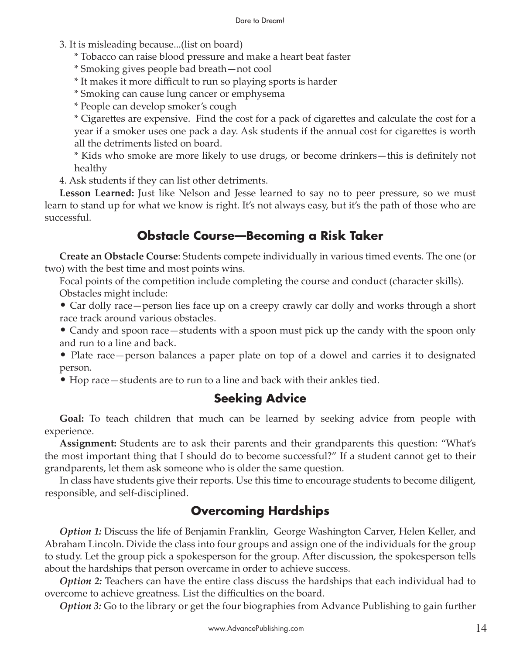- 3. It is misleading because...(list on board)
	- \* Tobacco can raise blood pressure and make a heart beat faster
	- \* Smoking gives people bad breath—not cool
	- \* It makes it more difficult to run so playing sports is harder
	- \* Smoking can cause lung cancer or emphysema
	- \* People can develop smoker's cough

\* Cigarettes are expensive. Find the cost for a pack of cigarettes and calculate the cost for a year if a smoker uses one pack a day. Ask students if the annual cost for cigarettes is worth all the detriments listed on board.

\* Kids who smoke are more likely to use drugs, or become drinkers—this is definitely not healthy

4. Ask students if they can list other detriments.

**Lesson Learned:** Just like Nelson and Jesse learned to say no to peer pressure, so we must learn to stand up for what we know is right. It's not always easy, but it's the path of those who are successful.

## **Obstacle Course—Becoming a Risk Taker**

**Create an Obstacle Course**: Students compete individually in various timed events. The one (or two) with the best time and most points wins.

Focal points of the competition include completing the course and conduct (character skills). Obstacles might include:

• Car dolly race—person lies face up on a creepy crawly car dolly and works through a short race track around various obstacles.

• Candy and spoon race—students with a spoon must pick up the candy with the spoon only and run to a line and back.

• Plate race—person balances a paper plate on top of a dowel and carries it to designated person.

• Hop race—students are to run to a line and back with their ankles tied.

#### **Seeking Advice**

**Goal:** To teach children that much can be learned by seeking advice from people with experience.

**Assignment:** Students are to ask their parents and their grandparents this question: "What's the most important thing that I should do to become successful?" If a student cannot get to their grandparents, let them ask someone who is older the same question.

In class have students give their reports. Use this time to encourage students to become diligent, responsible, and self-disciplined.

## **Overcoming Hardships**

*Option 1:* Discuss the life of Benjamin Franklin, George Washington Carver, Helen Keller, and Abraham Lincoln. Divide the class into four groups and assign one of the individuals for the group to study. Let the group pick a spokesperson for the group. After discussion, the spokesperson tells about the hardships that person overcame in order to achieve success.

*Option 2:* Teachers can have the entire class discuss the hardships that each individual had to overcome to achieve greatness. List the difficulties on the board.

*Option 3:* Go to the library or get the four biographies from Advance Publishing to gain further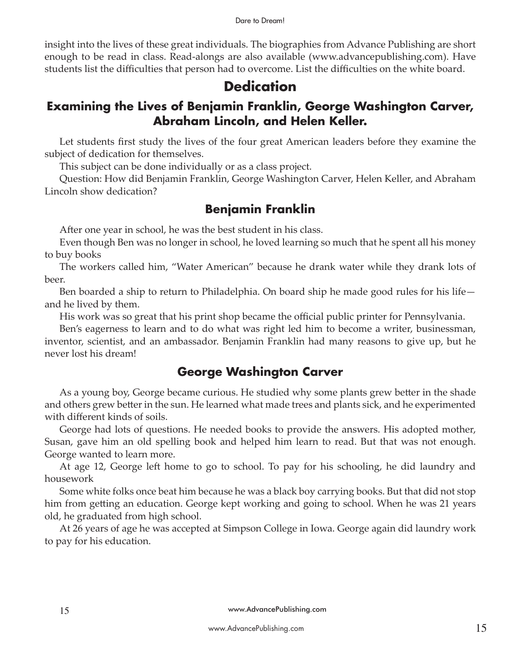#### Dare to Dream!

insight into the lives of these great individuals. The biographies from Advance Publishing are short enough to be read in class. Read-alongs are also available (www.advancepublishing.com). Have students list the difficulties that person had to overcome. List the difficulties on the white board.

## **Dedication**

## **Examining the Lives of Benjamin Franklin, George Washington Carver, Abraham Lincoln, and Helen Keller.**

Let students first study the lives of the four great American leaders before they examine the subject of dedication for themselves.

This subject can be done individually or as a class project.

Question: How did Benjamin Franklin, George Washington Carver, Helen Keller, and Abraham Lincoln show dedication?

## **Benjamin Franklin**

After one year in school, he was the best student in his class.

Even though Ben was no longer in school, he loved learning so much that he spent all his money to buy books

The workers called him, "Water American" because he drank water while they drank lots of beer.

Ben boarded a ship to return to Philadelphia. On board ship he made good rules for his life and he lived by them.

His work was so great that his print shop became the official public printer for Pennsylvania.

Ben's eagerness to learn and to do what was right led him to become a writer, businessman, inventor, scientist, and an ambassador. Benjamin Franklin had many reasons to give up, but he never lost his dream!

#### **George Washington Carver**

As a young boy, George became curious. He studied why some plants grew better in the shade and others grew better in the sun. He learned what made trees and plants sick, and he experimented with different kinds of soils.

George had lots of questions. He needed books to provide the answers. His adopted mother, Susan, gave him an old spelling book and helped him learn to read. But that was not enough. George wanted to learn more.

At age 12, George left home to go to school. To pay for his schooling, he did laundry and housework

Some white folks once beat him because he was a black boy carrying books. But that did not stop him from getting an education. George kept working and going to school. When he was 21 years old, he graduated from high school.

At 26 years of age he was accepted at Simpson College in Iowa. George again did laundry work to pay for his education.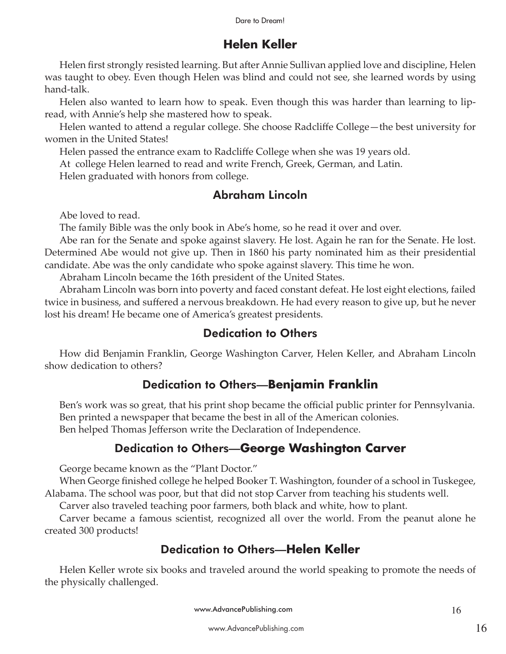## **Helen Keller**

Helen first strongly resisted learning. But after Annie Sullivan applied love and discipline, Helen was taught to obey. Even though Helen was blind and could not see, she learned words by using hand-talk.

Helen also wanted to learn how to speak. Even though this was harder than learning to lipread, with Annie's help she mastered how to speak.

Helen wanted to attend a regular college. She choose Radcliffe College—the best university for women in the United States!

Helen passed the entrance exam to Radcliffe College when she was 19 years old.

At college Helen learned to read and write French, Greek, German, and Latin.

Helen graduated with honors from college.

#### Abraham Lincoln

Abe loved to read.

The family Bible was the only book in Abe's home, so he read it over and over.

Abe ran for the Senate and spoke against slavery. He lost. Again he ran for the Senate. He lost. Determined Abe would not give up. Then in 1860 his party nominated him as their presidential candidate. Abe was the only candidate who spoke against slavery. This time he won.

Abraham Lincoln became the 16th president of the United States.

Abraham Lincoln was born into poverty and faced constant defeat. He lost eight elections, failed twice in business, and suffered a nervous breakdown. He had every reason to give up, but he never lost his dream! He became one of America's greatest presidents.

## Dedication to Others

How did Benjamin Franklin, George Washington Carver, Helen Keller, and Abraham Lincoln show dedication to others?

## Dedication to Others—**Benjamin Franklin**

Ben's work was so great, that his print shop became the official public printer for Pennsylvania. Ben printed a newspaper that became the best in all of the American colonies. Ben helped Thomas Jefferson write the Declaration of Independence.

## Dedication to Others—**George Washington Carver**

George became known as the "Plant Doctor."

When George finished college he helped Booker T. Washington, founder of a school in Tuskegee, Alabama. The school was poor, but that did not stop Carver from teaching his students well.

Carver also traveled teaching poor farmers, both black and white, how to plant.

Carver became a famous scientist, recognized all over the world. From the peanut alone he created 300 products!

## Dedication to Others—**Helen Keller**

Helen Keller wrote six books and traveled around the world speaking to promote the needs of the physically challenged.

www.AdvancePublishing.com 16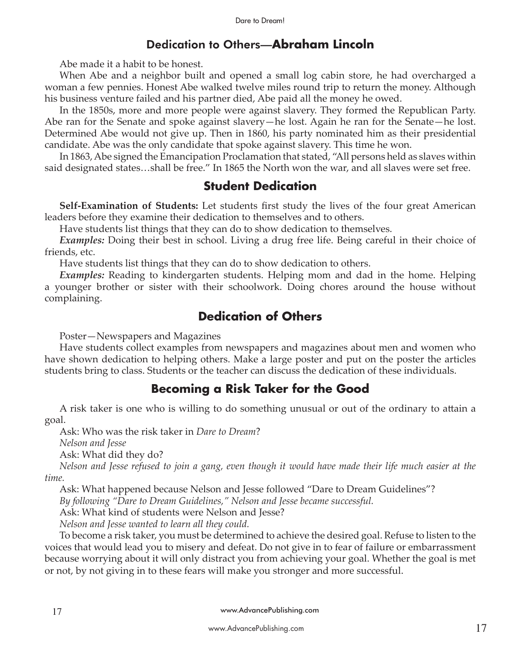#### Dedication to Others—**Abraham Lincoln**

Abe made it a habit to be honest.

When Abe and a neighbor built and opened a small log cabin store, he had overcharged a woman a few pennies. Honest Abe walked twelve miles round trip to return the money. Although his business venture failed and his partner died, Abe paid all the money he owed.

In the 1850s, more and more people were against slavery. They formed the Republican Party. Abe ran for the Senate and spoke against slavery—he lost. Again he ran for the Senate—he lost. Determined Abe would not give up. Then in 1860, his party nominated him as their presidential candidate. Abe was the only candidate that spoke against slavery. This time he won.

In 1863, Abe signed the Emancipation Proclamation that stated, "All persons held as slaves within said designated states…shall be free." In 1865 the North won the war, and all slaves were set free.

#### **Student Dedication**

**Self-Examination of Students:** Let students first study the lives of the four great American leaders before they examine their dedication to themselves and to others.

Have students list things that they can do to show dedication to themselves.

*Examples:* Doing their best in school. Living a drug free life. Being careful in their choice of friends, etc.

Have students list things that they can do to show dedication to others.

*Examples:* Reading to kindergarten students. Helping mom and dad in the home. Helping a younger brother or sister with their schoolwork. Doing chores around the house without complaining.

#### **Dedication of Others**

Poster—Newspapers and Magazines

Have students collect examples from newspapers and magazines about men and women who have shown dedication to helping others. Make a large poster and put on the poster the articles students bring to class. Students or the teacher can discuss the dedication of these individuals.

#### **Becoming a Risk Taker for the Good**

A risk taker is one who is willing to do something unusual or out of the ordinary to attain a goal.

Ask: Who was the risk taker in *Dare to Dream*?

*Nelson and Jesse*

Ask: What did they do?

*Nelson and Jesse refused to join a gang, even though it would have made their life much easier at the time.*

Ask: What happened because Nelson and Jesse followed "Dare to Dream Guidelines"?

*By following "Dare to Dream Guidelines," Nelson and Jesse became successful.*

Ask: What kind of students were Nelson and Jesse?

*Nelson and Jesse wanted to learn all they could.*

To become a risk taker, you must be determined to achieve the desired goal. Refuse to listen to the voices that would lead you to misery and defeat. Do not give in to fear of failure or embarrassment because worrying about it will only distract you from achieving your goal. Whether the goal is met or not, by not giving in to these fears will make you stronger and more successful.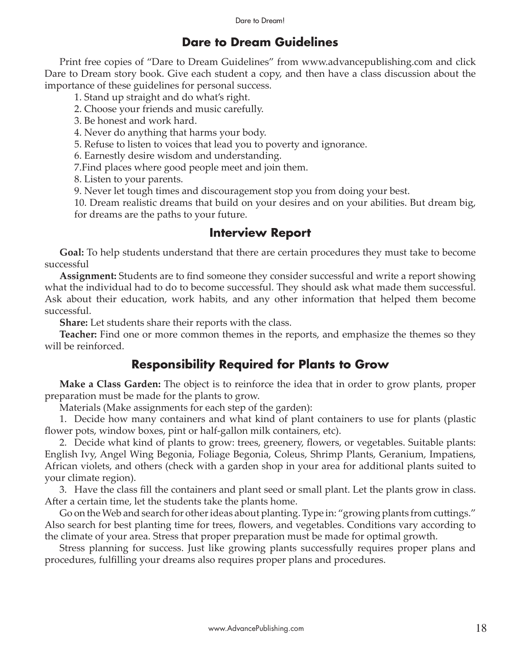#### **Dare to Dream Guidelines**

Print free copies of "Dare to Dream Guidelines" from www.advancepublishing.com and click Dare to Dream story book. Give each student a copy, and then have a class discussion about the importance of these guidelines for personal success.

1. Stand up straight and do what's right.

2. Choose your friends and music carefully.

3. Be honest and work hard.

4. Never do anything that harms your body.

5. Refuse to listen to voices that lead you to poverty and ignorance.

6. Earnestly desire wisdom and understanding.

7.Find places where good people meet and join them.

8. Listen to your parents.

9. Never let tough times and discouragement stop you from doing your best.

10. Dream realistic dreams that build on your desires and on your abilities. But dream big, for dreams are the paths to your future.

#### **Interview Report**

**Goal:** To help students understand that there are certain procedures they must take to become successful

**Assignment:** Students are to find someone they consider successful and write a report showing what the individual had to do to become successful. They should ask what made them successful. Ask about their education, work habits, and any other information that helped them become successful.

**Share:** Let students share their reports with the class.

**Teacher:** Find one or more common themes in the reports, and emphasize the themes so they will be reinforced.

#### **Responsibility Required for Plants to Grow**

**Make a Class Garden:** The object is to reinforce the idea that in order to grow plants, proper preparation must be made for the plants to grow.

Materials (Make assignments for each step of the garden):

1. Decide how many containers and what kind of plant containers to use for plants (plastic flower pots, window boxes, pint or half-gallon milk containers, etc).

2. Decide what kind of plants to grow: trees, greenery, flowers, or vegetables. Suitable plants: English Ivy, Angel Wing Begonia, Foliage Begonia, Coleus, Shrimp Plants, Geranium, Impatiens, African violets, and others (check with a garden shop in your area for additional plants suited to your climate region).

3. Have the class fill the containers and plant seed or small plant. Let the plants grow in class. After a certain time, let the students take the plants home.

Go on the Web and search for other ideas about planting. Type in: "growing plants from cuttings." Also search for best planting time for trees, flowers, and vegetables. Conditions vary according to the climate of your area. Stress that proper preparation must be made for optimal growth.

Stress planning for success. Just like growing plants successfully requires proper plans and procedures, fulfilling your dreams also requires proper plans and procedures.